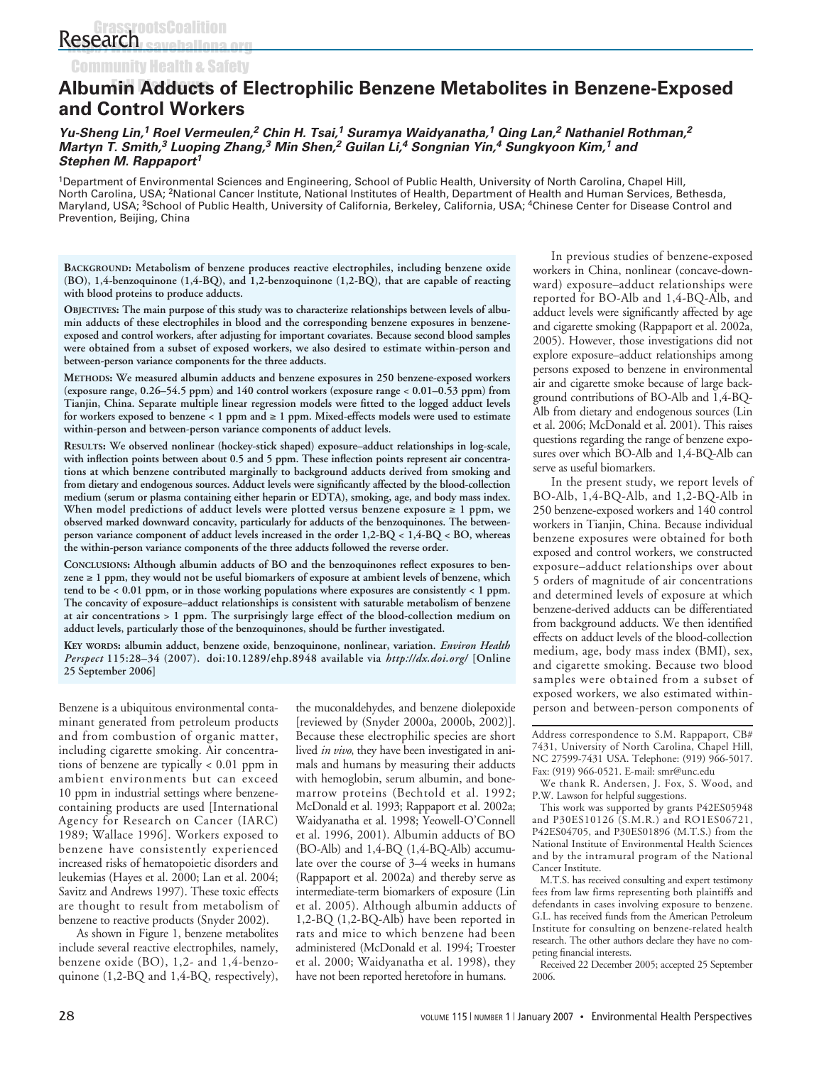Community Health & Safety

# **Albumin Adducts of Electrophilic Benzene Metabolites in Benzene-Exposed and Control Workers**

#### **Yu-Sheng Lin,<sup>1</sup> Roel Vermeulen,<sup>2</sup> Chin H. Tsai,<sup>1</sup> Suramya Waidyanatha,<sup>1</sup> Qing Lan,<sup>2</sup> Nathaniel Rothman,<sup>2</sup> Martyn T. Smith,<sup>3</sup> Luoping Zhang,<sup>3</sup> Min Shen,<sup>2</sup> Guilan Li,<sup>4</sup> Songnian Yin,<sup>4</sup> Sungkyoon Kim,<sup>1</sup> and Stephen M. Rappaport<sup>1</sup>**

1Department of Environmental Sciences and Engineering, School of Public Health, University of North Carolina, Chapel Hill, North Carolina, USA; 2National Cancer Institute, National Institutes of Health, Department of Health and Human Services, Bethesda, Maryland, USA; <sup>3</sup>School of Public Health, University of California, Berkeley, California, USA; <sup>4</sup>Chinese Center for Disease Control and Prevention, Beijing, China

**BACKGROUND: Metabolism of benzene produces reactive electrophiles, including benzene oxide (BO), 1,4-benzoquinone (1,4-BQ), and 1,2-benzoquinone (1,2-BQ), that are capable of reacting with blood proteins to produce adducts.** 

**OBJECTIVES: The main purpose of this study was to characterize relationships between levels of albumin adducts of these electrophiles in blood and the corresponding benzene exposures in benzeneexposed and control workers, after adjusting for important covariates. Because second blood samples were obtained from a subset of exposed workers, we also desired to estimate within-person and between-person variance components for the three adducts.** 

**METHODS: We measured albumin adducts and benzene exposures in 250 benzene-exposed workers (exposure range, 0.26–54.5 ppm) and 140 control workers (exposure range < 0.01–0.53 ppm) from Tianjin, China. Separate multiple linear regression models were fitted to the logged adduct levels for workers exposed to benzene < 1 ppm and** ≥ **1 ppm. Mixed-effects models were used to estimate within-person and between-person variance components of adduct levels.**

**RESULTS: We observed nonlinear (hockey-stick shaped) exposure–adduct relationships in log-scale, with inflection points between about 0.5 and 5 ppm. These inflection points represent air concentrations at which benzene contributed marginally to background adducts derived from smoking and from dietary and endogenous sources. Adduct levels were significantly affected by the blood-collection medium (serum or plasma containing either heparin or EDTA), smoking, age, and body mass index. When model predictions of adduct levels were plotted versus benzene exposure** ≥ **1 ppm, we observed marked downward concavity, particularly for adducts of the benzoquinones. The betweenperson variance component of adduct levels increased in the order 1,2-BQ < 1,4-BQ < BO, whereas the within-person variance components of the three adducts followed the reverse order.** 

**CONCLUSIONS: Although albumin adducts of BO and the benzoquinones reflect exposures to benzene** ≥ **1 ppm, they would not be useful biomarkers of exposure at ambient levels of benzene, which tend to be < 0.01 ppm, or in those working populations where exposures are consistently < 1 ppm. The concavity of exposure–adduct relationships is consistent with saturable metabolism of benzene at air concentrations > 1 ppm. The surprisingly large effect of the blood-collection medium on adduct levels, particularly those of the benzoquinones, should be further investigated.** 

**KEY WORDS: albumin adduct, benzene oxide, benzoquinone, nonlinear, variation.** *Environ Health Perspect* **115:28–34 (2007). doi:10.1289/ehp.8948 available via** *http://dx.doi.org/* **[Online 25 September 2006]**

Benzene is a ubiquitous environmental contaminant generated from petroleum products and from combustion of organic matter, including cigarette smoking. Air concentrations of benzene are typically < 0.01 ppm in ambient environments but can exceed 10 ppm in industrial settings where benzenecontaining products are used [International Agency for Research on Cancer (IARC) 1989; Wallace 1996]. Workers exposed to benzene have consistently experienced increased risks of hematopoietic disorders and leukemias (Hayes et al. 2000; Lan et al. 2004; Savitz and Andrews 1997). These toxic effects are thought to result from metabolism of benzene to reactive products (Snyder 2002).

As shown in Figure 1, benzene metabolites include several reactive electrophiles, namely, benzene oxide (BO), 1,2- and 1,4-benzoquinone (1,2-BQ and 1,4-BQ, respectively),

the muconaldehydes, and benzene diolepoxide [reviewed by (Snyder 2000a, 2000b, 2002)]. Because these electrophilic species are short lived *in vivo*, they have been investigated in animals and humans by measuring their adducts with hemoglobin, serum albumin, and bonemarrow proteins (Bechtold et al. 1992; McDonald et al. 1993; Rappaport et al. 2002a; Waidyanatha et al. 1998; Yeowell-O'Connell et al. 1996, 2001). Albumin adducts of BO (BO-Alb) and 1,4-BQ (1,4-BQ-Alb) accumulate over the course of 3–4 weeks in humans (Rappaport et al. 2002a) and thereby serve as intermediate-term biomarkers of exposure (Lin et al. 2005). Although albumin adducts of 1,2-BQ (1,2-BQ-Alb) have been reported in rats and mice to which benzene had been administered (McDonald et al. 1994; Troester et al. 2000; Waidyanatha et al. 1998), they have not been reported heretofore in humans.

In previous studies of benzene-exposed workers in China, nonlinear (concave-downward) exposure–adduct relationships were reported for BO-Alb and 1,4-BQ-Alb, and adduct levels were significantly affected by age and cigarette smoking (Rappaport et al. 2002a, 2005). However, those investigations did not explore exposure–adduct relationships among persons exposed to benzene in environmental air and cigarette smoke because of large background contributions of BO-Alb and 1,4-BQ-Alb from dietary and endogenous sources (Lin et al. 2006; McDonald et al. 2001). This raises questions regarding the range of benzene exposures over which BO-Alb and 1,4-BQ-Alb can serve as useful biomarkers.

In the present study, we report levels of BO-Alb, 1,4-BQ-Alb, and 1,2-BQ-Alb in 250 benzene-exposed workers and 140 control workers in Tianjin, China. Because individual benzene exposures were obtained for both exposed and control workers, we constructed exposure–adduct relationships over about 5 orders of magnitude of air concentrations and determined levels of exposure at which benzene-derived adducts can be differentiated from background adducts. We then identified effects on adduct levels of the blood-collection medium, age, body mass index (BMI), sex, and cigarette smoking. Because two blood samples were obtained from a subset of exposed workers, we also estimated withinperson and between-person components of

Address correspondence to S.M. Rappaport, CB# 7431, University of North Carolina, Chapel Hill, NC 27599-7431 USA. Telephone: (919) 966-5017. Fax: (919) 966-0521. E-mail: smr@unc.edu

We thank R. Andersen, J. Fox, S. Wood, and P.W. Lawson for helpful suggestions.

This work was supported by grants P42ES05948 and P30ES10126 (S.M.R.) and RO1ES06721, P42ES04705, and P30ES01896 (M.T.S.) from the National Institute of Environmental Health Sciences and by the intramural program of the National Cancer Institute.

M.T.S. has received consulting and expert testimony fees from law firms representing both plaintiffs and defendants in cases involving exposure to benzene. G.L. has received funds from the American Petroleum Institute for consulting on benzene-related health research. The other authors declare they have no competing financial interests.

Received 22 December 2005; accepted 25 September 2006.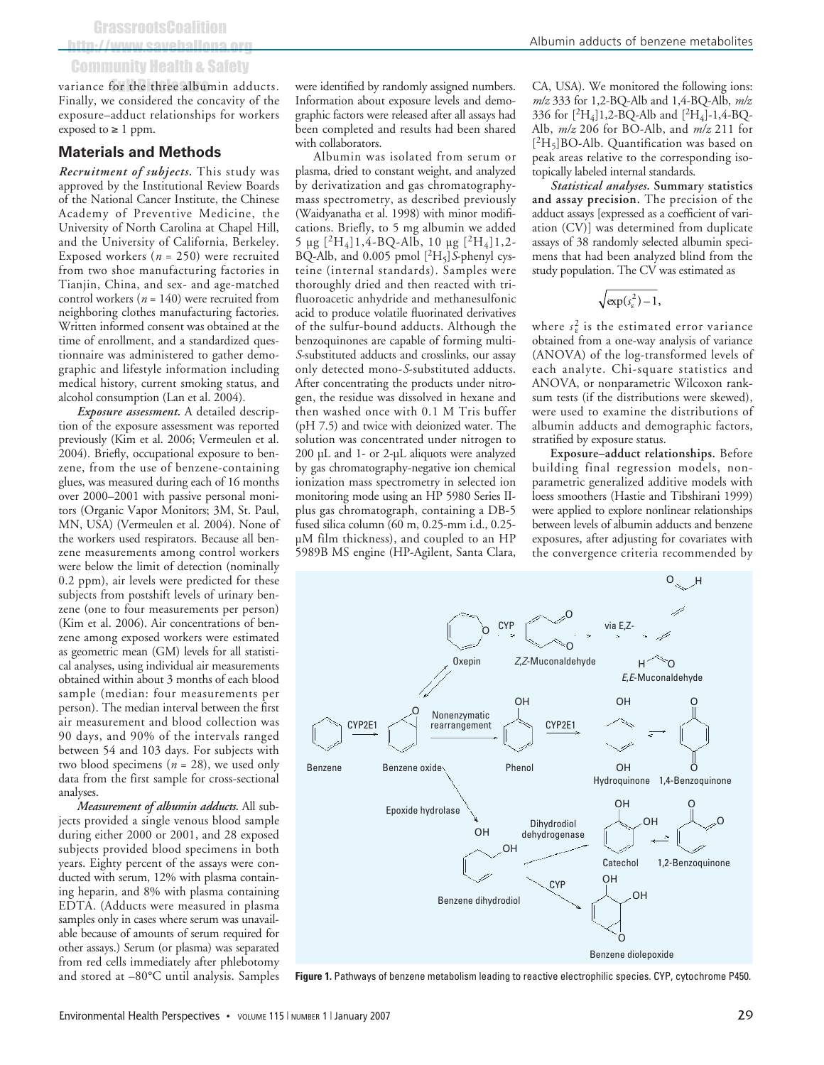# http://www.saveballona.org Community Health & Safety

variance for the three albumin adducts. Finally, we considered the concavity of the exposure–adduct relationships for workers exposed to  $\geq 1$  ppm.

#### **Materials and Methods**

*Recruitment of subjects.* This study was approved by the Institutional Review Boards of the National Cancer Institute, the Chinese Academy of Preventive Medicine, the University of North Carolina at Chapel Hill, and the University of California, Berkeley. Exposed workers (*n* = 250) were recruited from two shoe manufacturing factories in Tianjin, China, and sex- and age-matched control workers (*n* = 140) were recruited from neighboring clothes manufacturing factories. Written informed consent was obtained at the time of enrollment, and a standardized questionnaire was administered to gather demographic and lifestyle information including medical history, current smoking status, and alcohol consumption (Lan et al. 2004).

*Exposure assessment.* A detailed description of the exposure assessment was reported previously (Kim et al. 2006; Vermeulen et al. 2004). Briefly, occupational exposure to benzene, from the use of benzene-containing glues, was measured during each of 16 months over 2000–2001 with passive personal monitors (Organic Vapor Monitors; 3M, St. Paul, MN, USA) (Vermeulen et al. 2004). None of the workers used respirators. Because all benzene measurements among control workers were below the limit of detection (nominally 0.2 ppm), air levels were predicted for these subjects from postshift levels of urinary benzene (one to four measurements per person) (Kim et al. 2006). Air concentrations of benzene among exposed workers were estimated as geometric mean (GM) levels for all statistical analyses, using individual air measurements obtained within about 3 months of each blood sample (median: four measurements per person). The median interval between the first air measurement and blood collection was 90 days, and 90% of the intervals ranged between 54 and 103 days. For subjects with two blood specimens (*n* = 28), we used only data from the first sample for cross-sectional analyses.

*Measurement of albumin adducts.* All subjects provided a single venous blood sample during either 2000 or 2001, and 28 exposed subjects provided blood specimens in both years. Eighty percent of the assays were conducted with serum, 12% with plasma containing heparin, and 8% with plasma containing EDTA. (Adducts were measured in plasma samples only in cases where serum was unavailable because of amounts of serum required for other assays.) Serum (or plasma) was separated from red cells immediately after phlebotomy and stored at –80°C until analysis. Samples were identified by randomly assigned numbers. Information about exposure levels and demographic factors were released after all assays had been completed and results had been shared with collaborators.

Albumin was isolated from serum or plasma, dried to constant weight, and analyzed by derivatization and gas chromatographymass spectrometry, as described previously (Waidyanatha et al. 1998) with minor modifications. Briefly, to 5 mg albumin we added 5 μg  $[{}^{2}H_{4}]1, 4$ -BQ-Alb, 10 μg  $[{}^{2}H_{4}]1, 2$ -BQ-Alb, and 0.005 pmol [2H5]*S*-phenyl cysteine (internal standards). Samples were thoroughly dried and then reacted with trifluoroacetic anhydride and methanesulfonic acid to produce volatile fluorinated derivatives of the sulfur-bound adducts. Although the benzoquinones are capable of forming multi-*S*-substituted adducts and crosslinks, our assay only detected mono-*S*-substituted adducts. After concentrating the products under nitrogen, the residue was dissolved in hexane and then washed once with 0.1 M Tris buffer (pH 7.5) and twice with deionized water. The solution was concentrated under nitrogen to 200 μL and 1- or 2-μL aliquots were analyzed by gas chromatography-negative ion chemical ionization mass spectrometry in selected ion monitoring mode using an HP 5980 Series IIplus gas chromatograph, containing a DB-5 fused silica column (60 m, 0.25-mm i.d., 0.25 μM film thickness), and coupled to an HP 5989B MS engine (HP-Agilent, Santa Clara,

CA, USA). We monitored the following ions: *m/z* 333 for 1,2-BQ-Alb and 1,4-BQ-Alb, *m/z* 336 for  $[{}^{2}H_4]1,2$ -BQ-Alb and  $[{}^{2}H_4]$ -1,4-BQ-Alb, *m/z* 206 for BO-Alb, and *m/z* 211 for  $[^{2}H_{5}]$ BO-Alb. Quantification was based on peak areas relative to the corresponding isotopically labeled internal standards.

*Statistical analyses.* **Summary statistics and assay precision.** The precision of the adduct assays [expressed as a coefficient of variation (CV)] was determined from duplicate assays of 38 randomly selected albumin specimens that had been analyzed blind from the study population. The CV was estimated as

$$
\sqrt{\exp(s_{\varepsilon}^2)-1},
$$

where  $s_{\varepsilon}^2$  is the estimated error variance obtained from a one-way analysis of variance (ANOVA) of the log-transformed levels of each analyte. Chi-square statistics and ANOVA, or nonparametric Wilcoxon ranksum tests (if the distributions were skewed), were used to examine the distributions of albumin adducts and demographic factors, stratified by exposure status.

**Exposure–adduct relationships.** Before building final regression models, nonparametric generalized additive models with loess smoothers (Hastie and Tibshirani 1999) were applied to explore nonlinear relationships between levels of albumin adducts and benzene exposures, after adjusting for covariates with the convergence criteria recommended by



**Figure 1.** Pathways of benzene metabolism leading to reactive electrophilic species. CYP, cytochrome P450.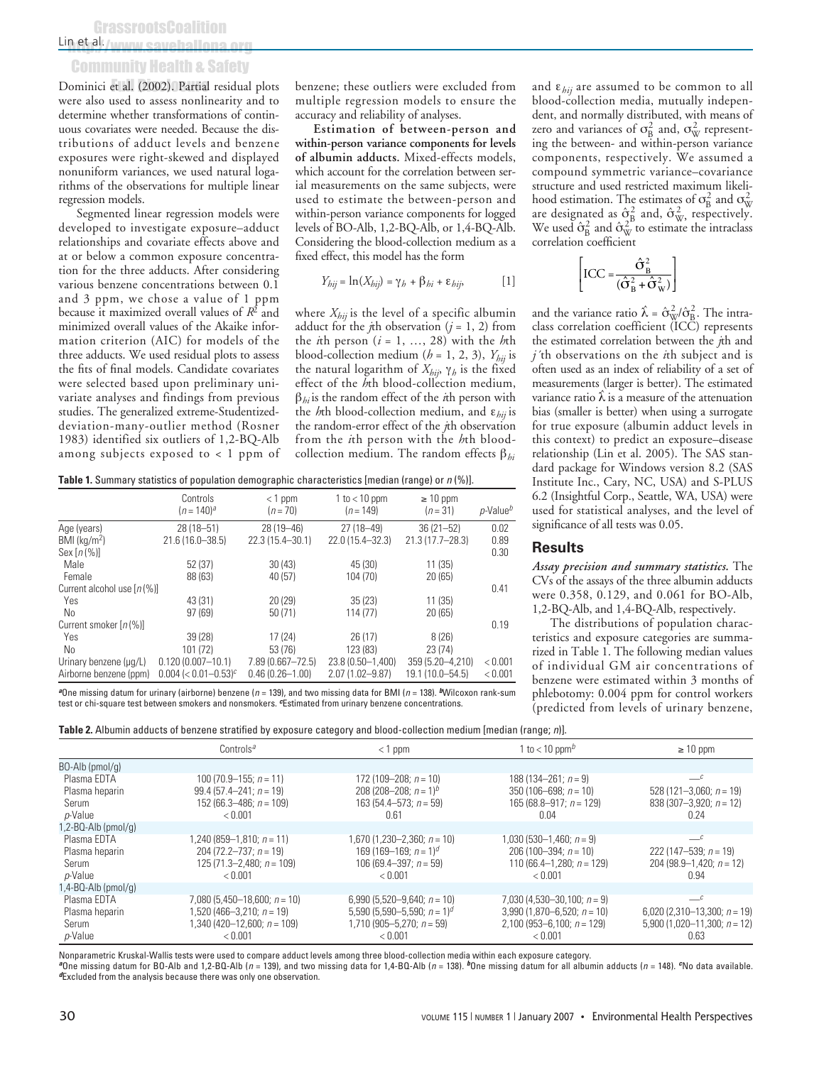# h et al:/www.saveballona.org Community Health & Safety

Dominici et al. (2002). Partial residual plots were also used to assess nonlinearity and to determine whether transformations of continuous covariates were needed. Because the distributions of adduct levels and benzene exposures were right-skewed and displayed nonuniform variances, we used natural logarithms of the observations for multiple linear regression models.

Segmented linear regression models were developed to investigate exposure–adduct relationships and covariate effects above and at or below a common exposure concentration for the three adducts. After considering various benzene concentrations between 0.1 and 3 ppm, we chose a value of 1 ppm because it maximized overall values of *R*<sup>2</sup> and minimized overall values of the Akaike information criterion (AIC) for models of the three adducts. We used residual plots to assess the fits of final models. Candidate covariates were selected based upon preliminary univariate analyses and findings from previous studies. The generalized extreme-Studentizeddeviation-many-outlier method (Rosner 1983) identified six outliers of 1,2-BQ-Alb among subjects exposed to < 1 ppm of benzene; these outliers were excluded from multiple regression models to ensure the accuracy and reliability of analyses.

**Estimation of between-person and within-person variance components for levels of albumin adducts.** Mixed-effects models, which account for the correlation between serial measurements on the same subjects, were used to estimate the between-person and within-person variance components for logged levels of BO-Alb, 1,2-BQ-Alb, or 1,4-BQ-Alb. Considering the blood-collection medium as a fixed effect, this model has the form

$$
Y_{hij} = \ln(X_{hij}) = \gamma_h + \beta_{hi} + \varepsilon_{hij},
$$
 [1]

where *Xhij* is the level of a specific albumin adduct for the *j*th observation  $(j = 1, 2)$  from the *i*th person  $(i = 1, ..., 28)$  with the *h*th blood-collection medium ( $h = 1, 2, 3$ ),  $Y_{hij}$  is the natural logarithm of *Xhij*, γ*<sup>h</sup>* is the fixed effect of the *h*th blood-collection medium, β*hi* is the random effect of the *i*th person with the *h*th blood-collection medium, and ε*hij* is the random-error effect of the *j*th observation from the *i*th person with the *h*th bloodcollection medium. The random effects β*hi*

**Table 1.** Summary statistics of population demographic characteristics [median (range) or n (%)].

|                               | Controls<br>$(n = 140)^a$          | $<$ 1 ppm<br>$(n=70)$ | 1 to $<$ 10 ppm<br>$(n = 149)$ | $\geq 10$ ppm<br>$(n=31)$ | $p$ -Value $b$ |
|-------------------------------|------------------------------------|-----------------------|--------------------------------|---------------------------|----------------|
| Age (years)                   | 28 (18-51)                         | 28 (19 - 46)          | $27(18 - 49)$                  | $36(21 - 52)$             | 0.02           |
| $BMI$ (kg/m <sup>2</sup> )    | $21.6(16.0 - 38.5)$                | 22.3 (15.4-30.1)      | 22.0 (15.4 - 32.3)             | $21.3(17.7 - 28.3)$       | 0.89           |
| Sex $[n(\%)]$                 |                                    |                       |                                |                           | 0.30           |
| Male                          | 52 (37)                            | 30(43)                | 45 (30)                        | 11(35)                    |                |
| Female                        | 88 (63)                            | 40 (57)               | 104 (70)                       | 20(65)                    |                |
| Current alcohol use $[n(\%)]$ |                                    |                       |                                |                           | 0.41           |
| Yes                           | 43 (31)                            | 20 (29)               | 35(23)                         | 11(35)                    |                |
| No.                           | 97(69)                             | 50(71)                | 114 (77)                       | 20(65)                    |                |
| Current smoker $[n(\%)]$      |                                    |                       |                                |                           | 0.19           |
| Yes                           | 39(28)                             | 17(24)                | 26(17)                         | 8(26)                     |                |
| No                            | 101 (72)                           | 53 (76)               | 123 (83)                       | 23(74)                    |                |
| Urinary benzene (µq/L)        | $0.120(0.007 - 10.1)$              | 7.89 (0.667-72.5)     | $23.8(0.50 - 1,400)$           | 359 (5.20-4.210)          | < 0.001        |
| Airborne benzene (ppm)        | $0.004$ (< 0.01-0.53) <sup>c</sup> | $0.46(0.26 - 1.00)$   | 2.07 (1.02-9.87)               | 19.1 (10.0-54.5)          | < 0.001        |

**<sup>a</sup>**One missing datum for urinary (airborne) benzene (n = 139), and two missing data for BMI (<sup>n</sup> = 138). **<sup>b</sup>**Wilcoxon rank-sum test or chi-square test between smokers and nonsmokers. **c**Estimated from urinary benzene concentrations.

and ε*hij* are assumed to be common to all blood-collection media, mutually independent, and normally distributed, with means of zero and variances of  $\sigma_{\rm B}^2$  and,  $\sigma_{\rm W}^2$  representing the between- and within-person variance components, respectively. We assumed a compound symmetric variance–covariance structure and used restricted maximum likelihood estimation. The estimates of  $\sigma_{\rm B}^2$  and  $\sigma_{\rm W}^2$ mood estimation. The estimates of  $\sigma_B^B$  and  $\sigma_{\rm W}^C$ <br>are designated as  $\hat{\sigma}_B^2$  and,  $\hat{\sigma}_{\rm W}^2$ , respectively. We used  $\hat{\sigma}_{B}^{2}$  and  $\hat{\sigma}_{W}^{2}$  to estimate the intraclass correlation coefficient

$$
\left[ \text{ICC} = \frac{\hat{\sigma}_{\text{B}}^2}{(\hat{\sigma}_{\text{B}}^2 + \hat{\sigma}_{\text{W}}^2)} \right]
$$

and the variance ratio  $\hat{\lambda} = \hat{\sigma}_{\text{W}}^2 / \hat{\sigma}_{\text{B}}^2$ . The intraclass correlation coefficient (ICC) represents the estimated correlation between the *j*th and *j´*th observations on the *i*th subject and is often used as an index of reliability of a set of measurements (larger is better). The estimated variance ratio  $\hat{\lambda}$  is a measure of the attenuation bias (smaller is better) when using a surrogate for true exposure (albumin adduct levels in this context) to predict an exposure–disease relationship (Lin et al. 2005). The SAS standard package for Windows version 8.2 (SAS Institute Inc., Cary, NC, USA) and S-PLUS 6.2 (Insightful Corp., Seattle, WA, USA) were used for statistical analyses, and the level of significance of all tests was 0.05.

#### **Results**

*Assay precision and summary statistics.* The CVs of the assays of the three albumin adducts were 0.358, 0.129, and 0.061 for BO-Alb, 1,2-BQ-Alb, and 1,4-BQ-Alb, respectively.

The distributions of population characteristics and exposure categories are summarized in Table 1. The following median values of individual GM air concentrations of benzene were estimated within 3 months of phlebotomy: 0.004 ppm for control workers (predicted from levels of urinary benzene,

| <b>Table 2.</b> Albumin adducts of benzene stratified by exposure category and blood-collection medium [median (range; n)]. |  |  |  |
|-----------------------------------------------------------------------------------------------------------------------------|--|--|--|
|-----------------------------------------------------------------------------------------------------------------------------|--|--|--|

|                                                   | Controls <sup>a</sup>                                                                                    | $<$ 1 ppm                                                                                                             | 1 to $< 10$ ppm <sup>b</sup>                                                                         | $\geq 10$ ppm                                                                     |
|---------------------------------------------------|----------------------------------------------------------------------------------------------------------|-----------------------------------------------------------------------------------------------------------------------|------------------------------------------------------------------------------------------------------|-----------------------------------------------------------------------------------|
| BO-Alb (pmol/g)                                   |                                                                                                          |                                                                                                                       |                                                                                                      |                                                                                   |
| Plasma EDTA<br>Plasma heparin<br>Serum<br>p-Value | 100 (70.9–155; $n = 11$ )<br>$99.4(57.4-241; n=19)$<br>152 (66.3–486: $n = 109$ )<br>< 0.001             | 172 (109–208; $n = 10$ )<br>208 (208–208; $n = 1$ ) <sup>b</sup><br>163 (54.4–573; $n = 59$ )<br>0.61                 | $188(134-261; n=9)$<br>$350(106 - 698; n = 10)$<br>$165(68.8-917; n = 129)$<br>0.04                  | $-c$<br>528 (121-3,060; $n = 19$ )<br>838 (307-3,920; $n = 12$ )<br>0.24          |
| (pmol/g) 2-BQ-Alb.                                |                                                                                                          |                                                                                                                       |                                                                                                      |                                                                                   |
| Plasma EDTA<br>Plasma heparin<br>Serum<br>p-Value | $1,240(859-1,810; n = 11)$<br>204 (72.2-737; $n = 19$ )<br>$125(71.3 - 2.480; n = 109)$<br>< 0.001       | $1,670(1,230-2,360; n = 10)$<br>169 (169–169; $n = 1$ ) <sup>d</sup><br>106 (69.4-397; $n = 59$ )<br>< 0.001          | $1,030(530-1,460; n=9)$<br>206 (100-394; $n = 10$ )<br>110 (66.4–1.280: $n = 129$ )<br>< 0.001       | $-c$<br>222 (147-539; $n = 19$ )<br>204 (98.9-1,420; $n = 12$ )<br>0.94           |
| (pmol/g) 4-BQ-Alb.                                |                                                                                                          |                                                                                                                       |                                                                                                      |                                                                                   |
| Plasma EDTA<br>Plasma heparin<br>Serum<br>p-Value | 7,080 (5,450-18,600; $n = 10$ )<br>$1,520(466-3,210; n = 19)$<br>$1,340(420-12,600; n = 109)$<br>< 0.001 | 6,990 (5,520-9,640; $n = 10$ )<br>5,590 (5,590–5,590; $n = 1$ ) <sup>d</sup><br>$1,710(905-5,270; n = 59)$<br>< 0.001 | $7,030(4,530-30,100; n=9)$<br>$3,990(1,870-6,520; n = 10)$<br>$2,100(953-6,100; n = 129)$<br>< 0.001 | $-c$<br>6,020 $(2,310-13,300; n = 19)$<br>5,900 (1,020-11,300; $n = 12$ )<br>0.63 |

Nonparametric Kruskal-Wallis tests were used to compare adduct levels among three blood-collection media within each exposure category.<br>ªOne missing datum for BO-Alb and 1,2-BQ-Alb (*n* = 139), and two missing data for 1,4 **<sup>d</sup>**Excluded from the analysis because there was only one observation.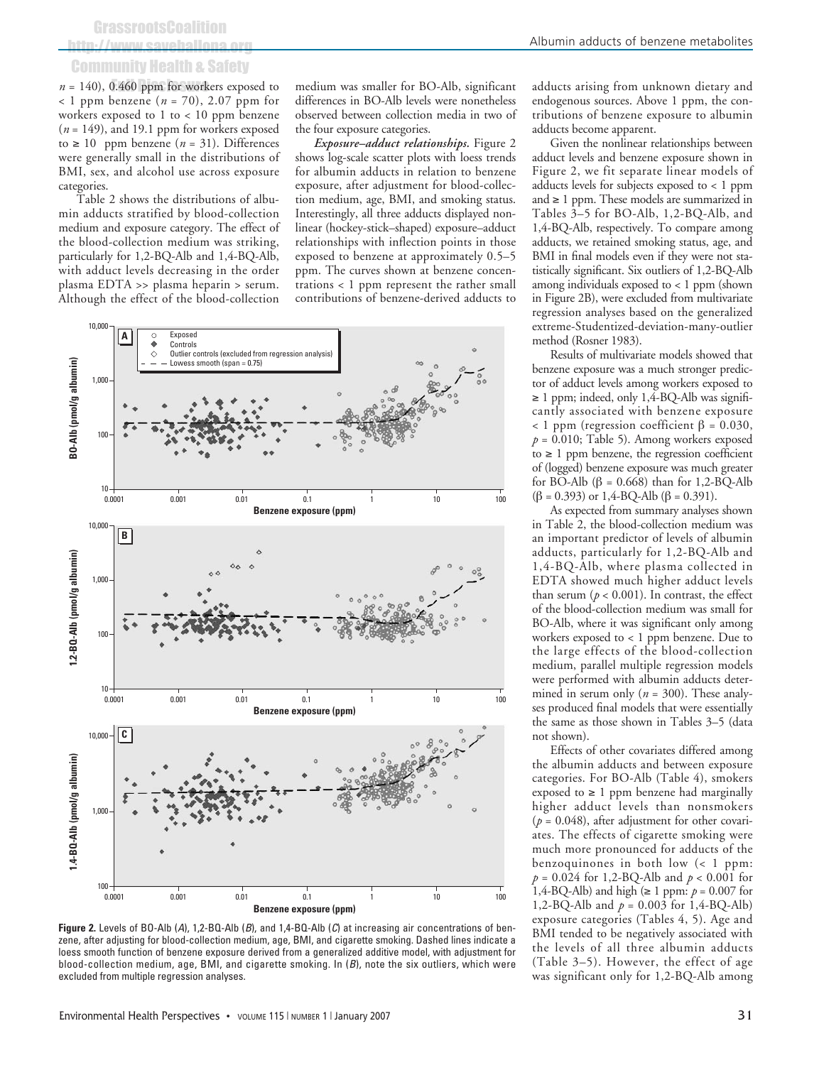# http://www.saveballona.org Community Health & Safety

 $n = 140$ ), 0.460 ppm for workers exposed to < 1 ppm benzene (*n* = 70), 2.07 ppm for workers exposed to 1 to < 10 ppm benzene (*n* = 149), and 19.1 ppm for workers exposed to ≥ 10 ppm benzene (*n* = 31). Differences were generally small in the distributions of BMI, sex, and alcohol use across exposure categories.

Table 2 shows the distributions of albumin adducts stratified by blood-collection medium and exposure category. The effect of the blood-collection medium was striking, particularly for 1,2-BQ-Alb and 1,4-BQ-Alb, with adduct levels decreasing in the order plasma EDTA >> plasma heparin > serum. Although the effect of the blood-collection

medium was smaller for BO-Alb, significant differences in BO-Alb levels were nonetheless observed between collection media in two of the four exposure categories.

*Exposure–adduct relationships.* Figure 2 shows log-scale scatter plots with loess trends for albumin adducts in relation to benzene exposure, after adjustment for blood-collection medium, age, BMI, and smoking status. Interestingly, all three adducts displayed nonlinear (hockey-stick–shaped) exposure–adduct relationships with inflection points in those exposed to benzene at approximately 0.5–5 ppm. The curves shown at benzene concentrations < 1 ppm represent the rather small contributions of benzene-derived adducts to



**Figure 2.** Levels of BO-Alb (A), 1,2-BQ-Alb (B), and 1,4-BQ-Alb (C) at increasing air concentrations of benzene, after adjusting for blood-collection medium, age, BMI, and cigarette smoking. Dashed lines indicate a loess smooth function of benzene exposure derived from a generalized additive model, with adjustment for blood-collection medium, age, BMI, and cigarette smoking. In (B), note the six outliers, which were excluded from multiple regression analyses.

adducts arising from unknown dietary and endogenous sources. Above 1 ppm, the contributions of benzene exposure to albumin adducts become apparent.

Given the nonlinear relationships between adduct levels and benzene exposure shown in Figure 2, we fit separate linear models of adducts levels for subjects exposed to < 1 ppm and ≥ 1 ppm. These models are summarized in Tables 3–5 for BO-Alb, 1,2-BQ-Alb, and 1,4-BQ-Alb, respectively. To compare among adducts, we retained smoking status, age, and BMI in final models even if they were not statistically significant. Six outliers of 1,2-BQ-Alb among individuals exposed to < 1 ppm (shown in Figure 2B), were excluded from multivariate regression analyses based on the generalized extreme-Studentized-deviation-many-outlier method (Rosner 1983).

Results of multivariate models showed that benzene exposure was a much stronger predictor of adduct levels among workers exposed to  $\geq$  1 ppm; indeed, only 1,4-BQ-Alb was significantly associated with benzene exposure < 1 ppm (regression coefficient β = 0.030,  $p = 0.010$ ; Table 5). Among workers exposed to  $≥ 1$  ppm benzene, the regression coefficient of (logged) benzene exposure was much greater for BO-Alb (β = 0.668) than for 1,2-BQ-Alb  $(β = 0.393)$  or 1,4-BQ-Alb  $(β = 0.391)$ .

As expected from summary analyses shown in Table 2, the blood-collection medium was an important predictor of levels of albumin adducts, particularly for 1,2-BQ-Alb and 1,4-BQ-Alb, where plasma collected in EDTA showed much higher adduct levels than serum ( $p < 0.001$ ). In contrast, the effect of the blood-collection medium was small for BO-Alb, where it was significant only among workers exposed to < 1 ppm benzene. Due to the large effects of the blood-collection medium, parallel multiple regression models were performed with albumin adducts determined in serum only (*n* = 300). These analyses produced final models that were essentially the same as those shown in Tables 3–5 (data not shown).

Effects of other covariates differed among the albumin adducts and between exposure categories. For BO-Alb (Table 4), smokers exposed to  $\geq 1$  ppm benzene had marginally higher adduct levels than nonsmokers  $(p = 0.048)$ , after adjustment for other covariates. The effects of cigarette smoking were much more pronounced for adducts of the benzoquinones in both low (< 1 ppm: *p* = 0.024 for 1,2-BQ-Alb and *p* < 0.001 for 1,4-BQ-Alb) and high (≥ 1 ppm: *p* = 0.007 for 1,2-BQ-Alb and  $p = 0.003$  for 1,4-BQ-Alb) exposure categories (Tables 4, 5). Age and BMI tended to be negatively associated with the levels of all three albumin adducts (Table 3–5). However, the effect of age was significant only for 1,2-BQ-Alb among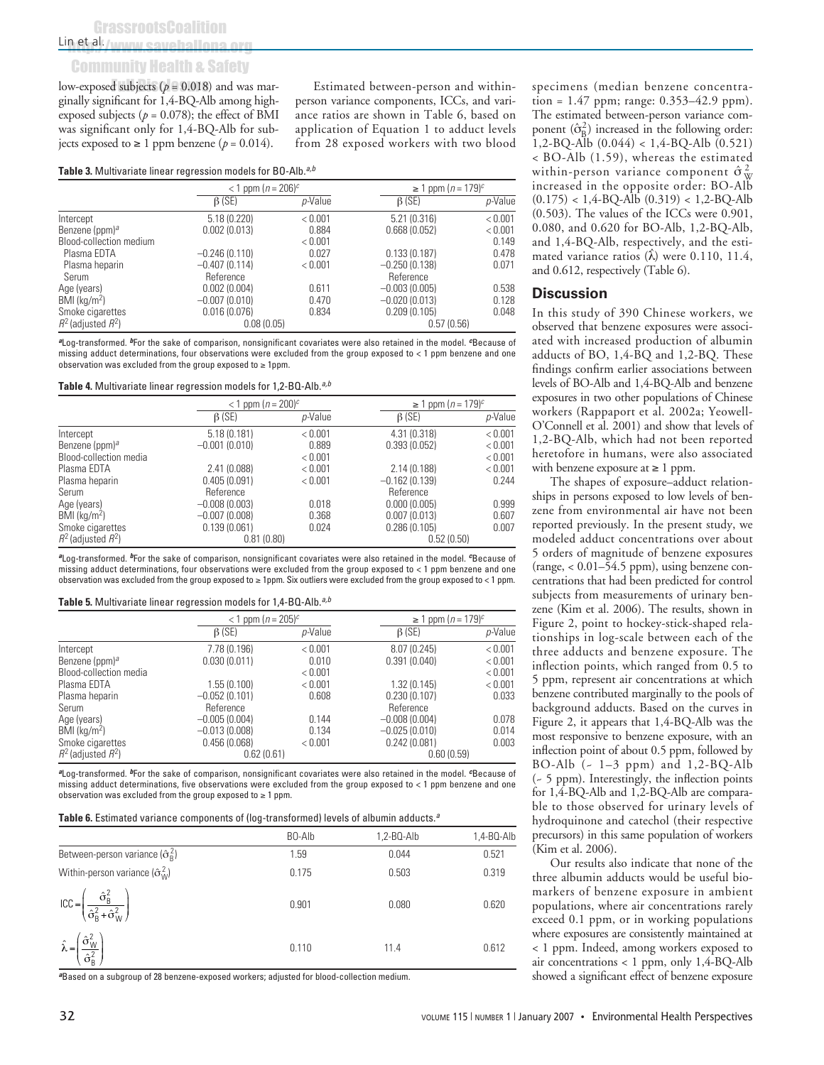### Community Health & Safety

low-exposed subjects ( $p = 0.018$ ) and was marginally significant for 1,4-BQ-Alb among highexposed subjects ( $p = 0.078$ ); the effect of BMI was significant only for 1,4-BQ-Alb for subjects exposed to ≥ 1 ppm benzene ( $p = 0.014$ ).

Estimated between-person and withinperson variance components, ICCs, and variance ratios are shown in Table 6, based on application of Equation 1 to adduct levels from 28 exposed workers with two blood

Table 3. Multivariate linear regression models for BO-Alb.<sup>a,b</sup>

|                            |                 | $<$ 1 ppm ( <i>n</i> = 206) <sup>c</sup> |                 | ≥ 1 ppm $(n = 179)^c$ |  |
|----------------------------|-----------------|------------------------------------------|-----------------|-----------------------|--|
|                            | $\beta$ (SE)    | p-Value                                  | $\beta$ (SE)    | p-Value               |  |
| Intercept                  | 5.18(0.220)     | < 0.001                                  | 5.21(0.316)     | < 0.001               |  |
| Benzene (ppm) <sup>a</sup> | 0.002(0.013)    | 0.884                                    | 0.668(0.052)    | < 0.001               |  |
| Blood-collection medium    |                 | < 0.001                                  |                 | 0.149                 |  |
| Plasma EDTA                | $-0.246(0.110)$ | 0.027                                    | 0.133(0.187)    | 0.478                 |  |
| Plasma heparin             | $-0.407(0.114)$ | < 0.001                                  | $-0.250(0.138)$ | 0.071                 |  |
| Serum                      | Reference       |                                          | Reference       |                       |  |
| Age (years)                | 0.002(0.004)    | 0.611                                    | $-0.003(0.005)$ | 0.538                 |  |
| $BMI$ (kg/m <sup>2</sup> ) | $-0.007(0.010)$ | 0.470                                    | $-0.020(0.013)$ | 0.128                 |  |
| Smoke cigarettes           | 0.016(0.076)    | 0.834                                    | 0.209(0.105)    | 0.048                 |  |
| $R^2$ (adjusted $R^2$ )    | 0.08(0.05)      |                                          | 0.57(0.56)      |                       |  |

**<sup>a</sup>**Log-transformed. **<sup>b</sup>**For the sake of comparison, nonsignificant covariates were also retained in the model. **c**Because of missing adduct determinations, four observations were excluded from the group exposed to < 1 ppm benzene and one observation was excluded from the group exposed to  $\geq 1$ ppm.

Table 4. Multivariate linear regression models for 1,2-BQ-Alb.<sup>a,b</sup>

|                            | $<$ 1 ppm $(n = 200)^c$ |         | ≥ 1 ppm $(n = 179)^c$ |         |
|----------------------------|-------------------------|---------|-----------------------|---------|
|                            | $\beta$ (SE)            | p-Value | $\beta$ (SE)          | p-Value |
| Intercept                  | 5.18(0.181)             | < 0.001 | 4.31 (0.318)          | < 0.001 |
| Benzene (ppm) <sup>a</sup> | $-0.001(0.010)$         | 0.889   | 0.393(0.052)          | < 0.001 |
| Blood-collection media     |                         | < 0.001 |                       | < 0.001 |
| Plasma EDTA                | 2.41(0.088)             | < 0.001 | 2.14 (0.188)          | < 0.001 |
| Plasma heparin             | 0.405(0.091)            | < 0.001 | $-0.162(0.139)$       | 0.244   |
| Serum                      | Reference               |         | Reference             |         |
| Age (years)                | $-0.008(0.003)$         | 0.018   | 0.000(0.005)          | 0.999   |
| BMI (kq/m <sup>2</sup> )   | $-0.007(0.008)$         | 0.368   | 0.007(0.013)          | 0.607   |
| Smoke cigarettes           | 0.139(0.061)            | 0.024   | 0.286(0.105)          | 0.007   |
| $R^2$ (adjusted $R^2$ )    | 0.81(0.80)              |         | 0.52(0.50)            |         |

**<sup>a</sup>**Log-transformed. **<sup>b</sup>**For the sake of comparison, nonsignificant covariates were also retained in the model. **c**Because of missing adduct determinations, four observations were excluded from the group exposed to < 1 ppm benzene and one observation was excluded from the group exposed to ≥ 1ppm. Six outliers were excluded from the group exposed to < 1 ppm.

#### **Table 5.** Multivariate linear regression models for 1,4-BQ-Alb.<sup>a,b</sup>

|                            | < 1 ppm $(n = 205)^c$ |         | ≥ 1 ppm $(n = 179)^{c}$ |         |
|----------------------------|-----------------------|---------|-------------------------|---------|
|                            | $\beta$ (SE)          | p-Value | $\beta$ (SE)            | p-Value |
| Intercept                  | 7.78 (0.196)          | < 0.001 | 8.07(0.245)             | < 0.001 |
| Benzene (ppm) <sup>a</sup> | 0.030(0.011)          | 0.010   | 0.391(0.040)            | < 0.001 |
| Blood-collection media     |                       | < 0.001 |                         | < 0.001 |
| Plasma EDTA                | 1.55(0.100)           | < 0.001 | 1.32(0.145)             | < 0.001 |
| Plasma heparin             | $-0.052(0.101)$       | 0.608   | 0.230(0.107)            | 0.033   |
| Serum                      | Reference             |         | Reference               |         |
| Age (years)                | $-0.005(0.004)$       | 0.144   | $-0.008(0.004)$         | 0.078   |
| $BMI$ (kg/m <sup>2</sup> ) | $-0.013(0.008)$       | 0.134   | $-0.025(0.010)$         | 0.014   |
| Smoke cigarettes           | 0.456(0.068)          | < 0.001 | 0.242(0.081)            | 0.003   |
| $R^2$ (adjusted $R^2$ )    | 0.62(0.61)            |         | 0.60(0.59)              |         |

**<sup>a</sup>**Log-transformed. **<sup>b</sup>**For the sake of comparison, nonsignificant covariates were also retained in the model. **c**Because of missing adduct determinations, five observations were excluded from the group exposed to < 1 ppm benzene and one observation was excluded from the group exposed to ≥ 1 ppm.

Table 6. Estimated variance components of (log-transformed) levels of albumin adducts.<sup>a</sup>

|                                                                                                                     | BO-Alb | $1,2-BQ-Alb$ | 1,4-BQ-Alb |
|---------------------------------------------------------------------------------------------------------------------|--------|--------------|------------|
| Between-person variance $(\hat{\sigma}_{\text{B}}^2)$                                                               | 1.59   | 0.044        | 0.521      |
| Within-person variance $(\hat{\sigma}_{W}^{2})$                                                                     | 0.175  | 0.503        | 0.319      |
| $\text{ICC} = \left(\frac{\hat{\sigma}_{\text{B}}^2}{\hat{\sigma}_{\text{B}}^2 + \hat{\sigma}_{\text{W}}^2}\right)$ | 0.901  | 0.080        | 0.620      |
| $\hat{\lambda} = \left(\frac{\sigma_{W}^{2}}{\hat{\sigma}_{B}^{2}}\right)$                                          | 0.110  | 11.4         | 0.612      |

**<sup>a</sup>**Based on a subgroup of 28 benzene-exposed workers; adjusted for blood-collection medium.

specimens (median benzene concentration = 1.47 ppm; range: 0.353–42.9 ppm). The estimated between-person variance component  $(\hat{\sigma}_{B}^{2})$  increased in the following order: 1,2-BQ-Alb (0.044) < 1,4-BQ-Alb (0.521) < BO-Alb (1.59), whereas the estimated within-person variance component  $\hat{\sigma}_{\text{W}}^2$ increased in the opposite order: BO-Alb (0.175) < 1,4-BQ-Alb (0.319) < 1,2-BQ-Alb (0.503). The values of the ICCs were 0.901, 0.080, and 0.620 for BO-Alb, 1,2-BQ-Alb, and 1,4-BQ-Alb, respectively, and the estimated variance ratios  $(\hat{\lambda})$  were 0.110, 11.4, and 0.612, respectively (Table 6).

#### **Discussion**

In this study of 390 Chinese workers, we observed that benzene exposures were associated with increased production of albumin adducts of BO, 1,4-BQ and 1,2-BQ. These findings confirm earlier associations between levels of BO-Alb and 1,4-BQ-Alb and benzene exposures in two other populations of Chinese workers (Rappaport et al. 2002a; Yeowell-O'Connell et al. 2001) and show that levels of 1,2-BQ-Alb, which had not been reported heretofore in humans, were also associated with benzene exposure at ≥ 1 ppm.

The shapes of exposure–adduct relationships in persons exposed to low levels of benzene from environmental air have not been reported previously. In the present study, we modeled adduct concentrations over about 5 orders of magnitude of benzene exposures (range, < 0.01–54.5 ppm), using benzene concentrations that had been predicted for control subjects from measurements of urinary benzene (Kim et al. 2006). The results, shown in Figure 2, point to hockey-stick-shaped relationships in log-scale between each of the three adducts and benzene exposure. The inflection points, which ranged from 0.5 to 5 ppm, represent air concentrations at which benzene contributed marginally to the pools of background adducts. Based on the curves in Figure 2, it appears that 1,4-BQ-Alb was the most responsive to benzene exposure, with an inflection point of about 0.5 ppm, followed by BO-Alb  $(-1-3$  ppm) and  $1,2-BQ-Alb$ (~ 5 ppm). Interestingly, the inflection points for 1,4-BQ-Alb and 1,2-BQ-Alb are comparable to those observed for urinary levels of hydroquinone and catechol (their respective precursors) in this same population of workers (Kim et al. 2006).

Our results also indicate that none of the three albumin adducts would be useful biomarkers of benzene exposure in ambient populations, where air concentrations rarely exceed 0.1 ppm, or in working populations where exposures are consistently maintained at < 1 ppm. Indeed, among workers exposed to air concentrations < 1 ppm, only 1,4-BQ-Alb showed a significant effect of benzene exposure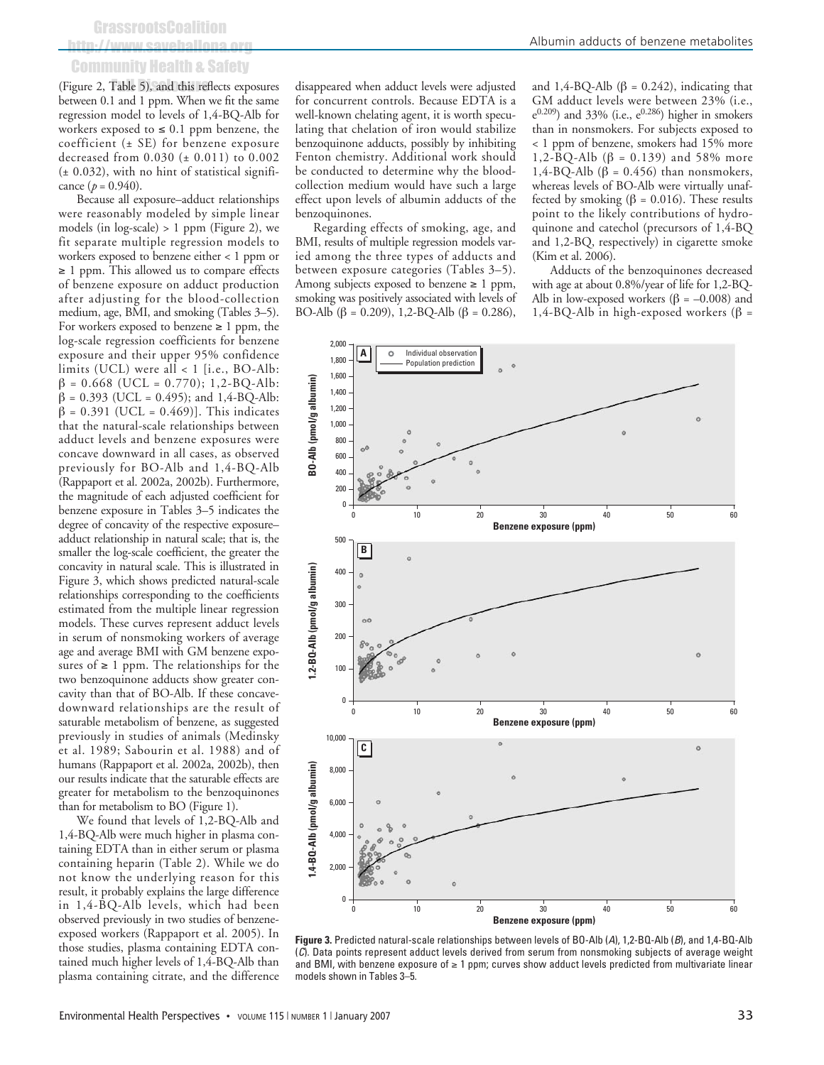# http://www.saveballona.org Community Health & Safety

(Figure 2, Table 5), and this reflects exposures between 0.1 and 1 ppm. When we fit the same regression model to levels of 1,4-BQ-Alb for workers exposed to  $\leq 0.1$  ppm benzene, the coefficient (± SE) for benzene exposure decreased from 0.030 (± 0.011) to 0.002  $(\pm 0.032)$ , with no hint of statistical significance  $(p = 0.940)$ .

Because all exposure–adduct relationships were reasonably modeled by simple linear models (in log-scale) > 1 ppm (Figure 2), we fit separate multiple regression models to workers exposed to benzene either < 1 ppm or ≥ 1 ppm. This allowed us to compare effects of benzene exposure on adduct production after adjusting for the blood-collection medium, age, BMI, and smoking (Tables 3–5). For workers exposed to benzene  $\geq 1$  ppm, the log-scale regression coefficients for benzene exposure and their upper 95% confidence limits (UCL) were all < 1 [i.e., BO-Alb:  $β = 0.668$  (UCL = 0.770); 1,2-BQ-Alb:  $β = 0.393$  (UCL = 0.495); and 1,4-BQ-Alb:  $β = 0.391$  (UCL = 0.469)]. This indicates that the natural-scale relationships between adduct levels and benzene exposures were concave downward in all cases, as observed previously for BO-Alb and 1,4-BQ-Alb (Rappaport et al. 2002a, 2002b). Furthermore, the magnitude of each adjusted coefficient for benzene exposure in Tables 3–5 indicates the degree of concavity of the respective exposure– adduct relationship in natural scale; that is, the smaller the log-scale coefficient, the greater the concavity in natural scale. This is illustrated in Figure 3, which shows predicted natural-scale relationships corresponding to the coefficients estimated from the multiple linear regression models. These curves represent adduct levels in serum of nonsmoking workers of average age and average BMI with GM benzene exposures of  $\geq 1$  ppm. The relationships for the two benzoquinone adducts show greater concavity than that of BO-Alb. If these concavedownward relationships are the result of saturable metabolism of benzene, as suggested previously in studies of animals (Medinsky et al. 1989; Sabourin et al. 1988) and of humans (Rappaport et al. 2002a, 2002b), then our results indicate that the saturable effects are greater for metabolism to the benzoquinones than for metabolism to BO (Figure 1).

We found that levels of 1,2-BQ-Alb and 1,4-BQ-Alb were much higher in plasma containing EDTA than in either serum or plasma containing heparin (Table 2). While we do not know the underlying reason for this result, it probably explains the large difference in 1,4-BQ-Alb levels, which had been observed previously in two studies of benzeneexposed workers (Rappaport et al. 2005). In those studies, plasma containing EDTA contained much higher levels of 1,4-BQ-Alb than plasma containing citrate, and the difference

disappeared when adduct levels were adjusted for concurrent controls. Because EDTA is a well-known chelating agent, it is worth speculating that chelation of iron would stabilize benzoquinone adducts, possibly by inhibiting Fenton chemistry. Additional work should be conducted to determine why the bloodcollection medium would have such a large effect upon levels of albumin adducts of the benzoquinones.

Regarding effects of smoking, age, and BMI, results of multiple regression models varied among the three types of adducts and between exposure categories (Tables 3–5). Among subjects exposed to benzene  $\geq 1$  ppm, smoking was positively associated with levels of BO-Alb (β = 0.209), 1,2-BQ-Alb (β = 0.286), and 1,4-BQ-Alb (β = 0.242), indicating that GM adduct levels were between 23% (i.e.,  $e^{0.209}$ ) and 33% (i.e.,  $e^{0.286}$ ) higher in smokers than in nonsmokers. For subjects exposed to < 1 ppm of benzene, smokers had 15% more 1,2-BQ-Alb (β = 0.139) and 58% more 1,4-BQ-Alb (β = 0.456) than nonsmokers, whereas levels of BO-Alb were virtually unaffected by smoking ( $\beta$  = 0.016). These results point to the likely contributions of hydroquinone and catechol (precursors of 1,4-BQ and 1,2-BQ, respectively) in cigarette smoke (Kim et al. 2006).

Adducts of the benzoquinones decreased with age at about 0.8%/year of life for 1,2-BQ-Alb in low-exposed workers ( $\beta$  = –0.008) and 1,4-BQ-Alb in high-exposed workers (β =



**Figure 3.** Predicted natural-scale relationships between levels of BO-Alb (A), 1,2-BQ-Alb (B), and 1,4-BQ-Alb (C). Data points represent adduct levels derived from serum from nonsmoking subjects of average weight and BMI, with benzene exposure of ≥ 1 ppm; curves show adduct levels predicted from multivariate linear